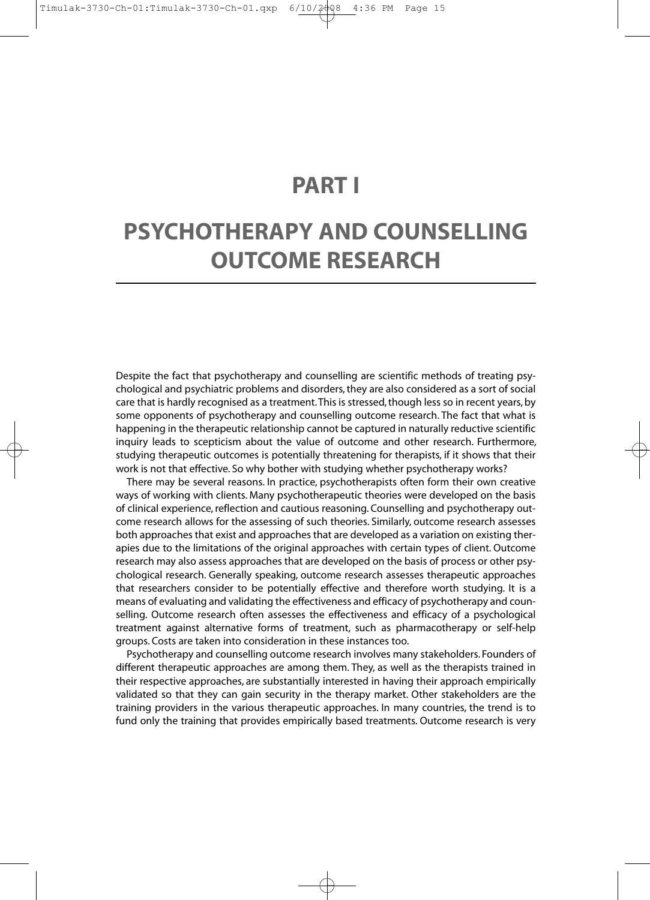## **PART I**

# **PSYCHOTHERAPY AND COUNSELLING OUTCOME RESEARCH**

Despite the fact that psychotherapy and counselling are scientific methods of treating psychological and psychiatric problems and disorders, they are also considered as a sort of social care that is hardly recognised as a treatment. This is stressed, though less so in recent years, by some opponents of psychotherapy and counselling outcome research. The fact that what is happening in the therapeutic relationship cannot be captured in naturally reductive scientific inquiry leads to scepticism about the value of outcome and other research. Furthermore, studying therapeutic outcomes is potentially threatening for therapists, if it shows that their work is not that effective. So why bother with studying whether psychotherapy works?

There may be several reasons. In practice, psychotherapists often form their own creative ways of working with clients. Many psychotherapeutic theories were developed on the basis of clinical experience, reflection and cautious reasoning. Counselling and psychotherapy outcome research allows for the assessing of such theories. Similarly, outcome research assesses both approaches that exist and approaches that are developed as a variation on existing therapies due to the limitations of the original approaches with certain types of client. Outcome research may also assess approaches that are developed on the basis of process or other psychological research. Generally speaking, outcome research assesses therapeutic approaches that researchers consider to be potentially effective and therefore worth studying. It is a means of evaluating and validating the effectiveness and efficacy of psychotherapy and counselling. Outcome research often assesses the effectiveness and efficacy of a psychological treatment against alternative forms of treatment, such as pharmacotherapy or self-help groups. Costs are taken into consideration in these instances too.

Psychotherapy and counselling outcome research involves many stakeholders. Founders of different therapeutic approaches are among them. They, as well as the therapists trained in their respective approaches, are substantially interested in having their approach empirically validated so that they can gain security in the therapy market. Other stakeholders are the training providers in the various therapeutic approaches. In many countries, the trend is to fund only the training that provides empirically based treatments. Outcome research is very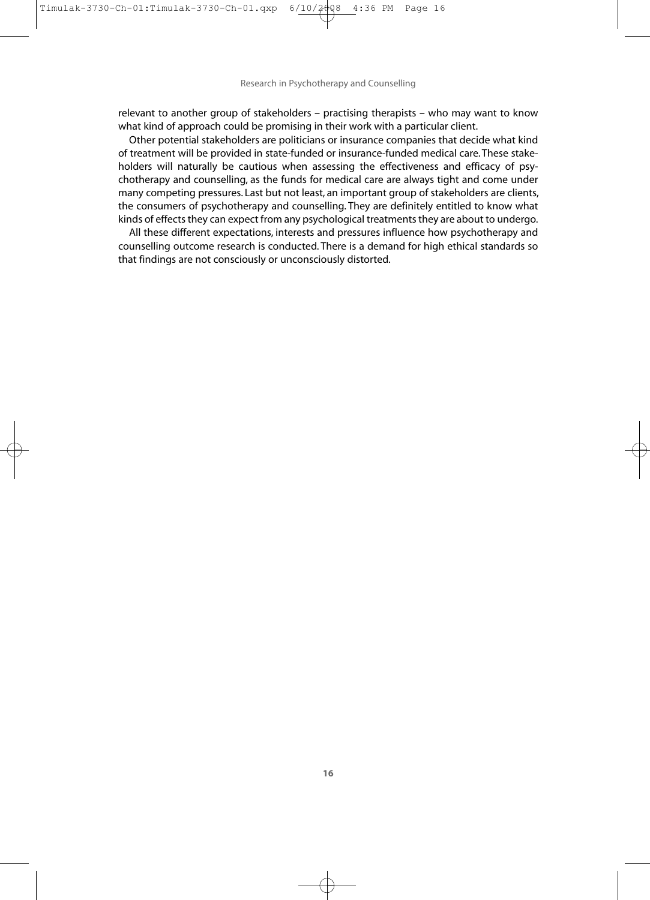Research in Psychotherapy and Counselling

relevant to another group of stakeholders – practising therapists – who may want to know what kind of approach could be promising in their work with a particular client.

Other potential stakeholders are politicians or insurance companies that decide what kind of treatment will be provided in state-funded or insurance-funded medical care. These stakeholders will naturally be cautious when assessing the effectiveness and efficacy of psychotherapy and counselling, as the funds for medical care are always tight and come under many competing pressures. Last but not least, an important group of stakeholders are clients, the consumers of psychotherapy and counselling. They are definitely entitled to know what kinds of effects they can expect from any psychological treatments they are about to undergo.

All these different expectations, interests and pressures influence how psychotherapy and counselling outcome research is conducted. There is a demand for high ethical standards so that findings are not consciously or unconsciously distorted.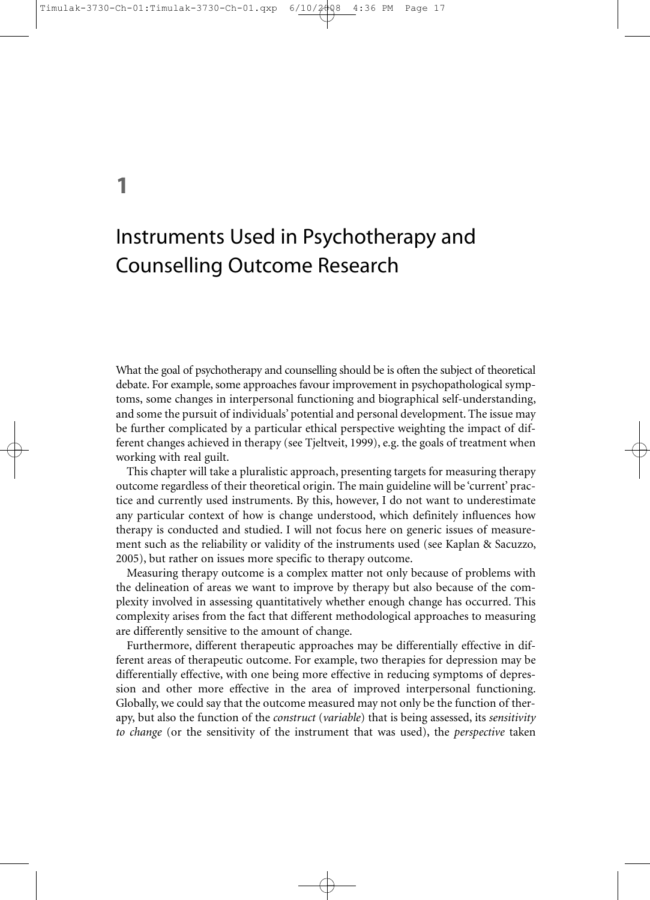## **1**

# Instruments Used in Psychotherapy and Counselling Outcome Research

What the goal of psychotherapy and counselling should be is often the subject of theoretical debate. For example, some approaches favour improvement in psychopathological symptoms, some changes in interpersonal functioning and biographical self-understanding, and some the pursuit of individuals' potential and personal development. The issue may be further complicated by a particular ethical perspective weighting the impact of different changes achieved in therapy (see Tjeltveit, 1999), e.g. the goals of treatment when working with real guilt.

This chapter will take a pluralistic approach, presenting targets for measuring therapy outcome regardless of their theoretical origin. The main guideline will be 'current' practice and currently used instruments. By this, however, I do not want to underestimate any particular context of how is change understood, which definitely influences how therapy is conducted and studied. I will not focus here on generic issues of measurement such as the reliability or validity of the instruments used (see Kaplan & Sacuzzo, 2005), but rather on issues more specific to therapy outcome.

Measuring therapy outcome is a complex matter not only because of problems with the delineation of areas we want to improve by therapy but also because of the complexity involved in assessing quantitatively whether enough change has occurred. This complexity arises from the fact that different methodological approaches to measuring are differently sensitive to the amount of change.

Furthermore, different therapeutic approaches may be differentially effective in different areas of therapeutic outcome. For example, two therapies for depression may be differentially effective, with one being more effective in reducing symptoms of depression and other more effective in the area of improved interpersonal functioning. Globally, we could say that the outcome measured may not only be the function of therapy, but also the function of the *construct* (*variable*) that is being assessed, its *sensitivity to change* (or the sensitivity of the instrument that was used), the *perspective* taken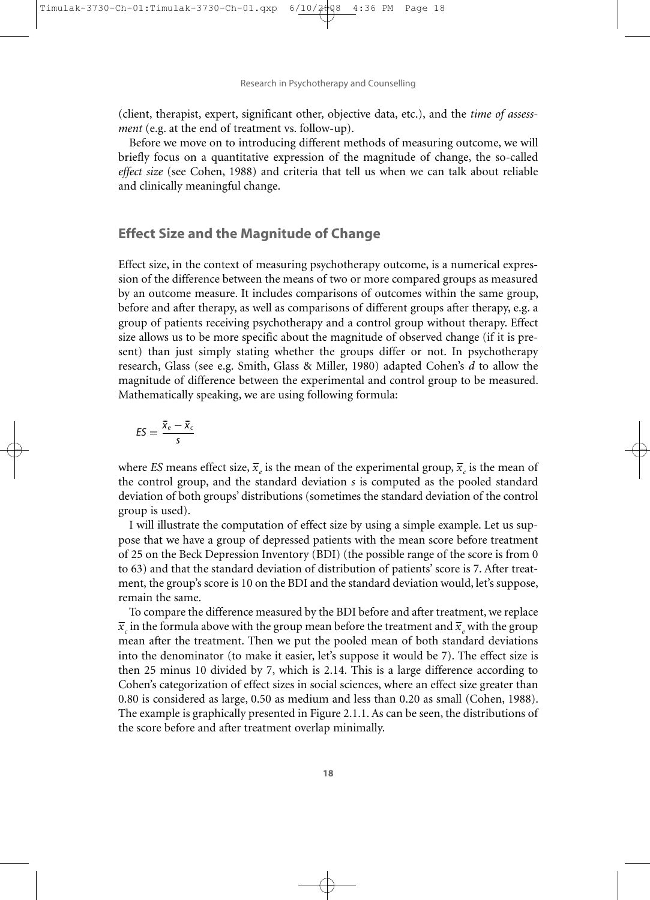$4:36$ 

Research in Psychotherapy and Counselling

(client, therapist, expert, significant other, objective data, etc.), and the *time of assessment* (e.g. at the end of treatment vs. follow-up).

Before we move on to introducing different methods of measuring outcome, we will briefly focus on a quantitative expression of the magnitude of change, the so-called *effect size* (see Cohen, 1988) and criteria that tell us when we can talk about reliable and clinically meaningful change.

## **Effect Size and the Magnitude of Change**

Effect size, in the context of measuring psychotherapy outcome, is a numerical expression of the difference between the means of two or more compared groups as measured by an outcome measure. It includes comparisons of outcomes within the same group, before and after therapy, as well as comparisons of different groups after therapy, e.g. a group of patients receiving psychotherapy and a control group without therapy. Effect size allows us to be more specific about the magnitude of observed change (if it is present) than just simply stating whether the groups differ or not. In psychotherapy research, Glass (see e.g. Smith, Glass & Miller, 1980) adapted Cohen's *d* to allow the magnitude of difference between the experimental and control group to be measured. Mathematically speaking, we are using following formula:

$$
ES = \frac{\bar{x}_e - \bar{x}_c}{s}
$$

where *ES* means effect size,  $\bar{x}_e$  is the mean of the experimental group,  $\bar{x}_e$  is the mean of the control group, and the standard deviation *s* is computed as the pooled standard deviation of both groups' distributions (sometimes the standard deviation of the control group is used).

I will illustrate the computation of effect size by using a simple example. Let us suppose that we have a group of depressed patients with the mean score before treatment of 25 on the Beck Depression Inventory (BDI) (the possible range of the score is from 0 to 63) and that the standard deviation of distribution of patients' score is 7. After treatment, the group's score is 10 on the BDI and the standard deviation would, let's suppose, remain the same.

To compare the difference measured by the BDI before and after treatment, we replace  $\bar{x}_c$  in the formula above with the group mean before the treatment and  $\bar{x}_e$  with the group mean after the treatment. Then we put the pooled mean of both standard deviations into the denominator (to make it easier, let's suppose it would be 7). The effect size is then 25 minus 10 divided by 7, which is 2.14. This is a large difference according to Cohen's categorization of effect sizes in social sciences, where an effect size greater than 0.80 is considered as large, 0.50 as medium and less than 0.20 as small (Cohen, 1988). The example is graphically presented in Figure 2.1.1. As can be seen, the distributions of the score before and after treatment overlap minimally.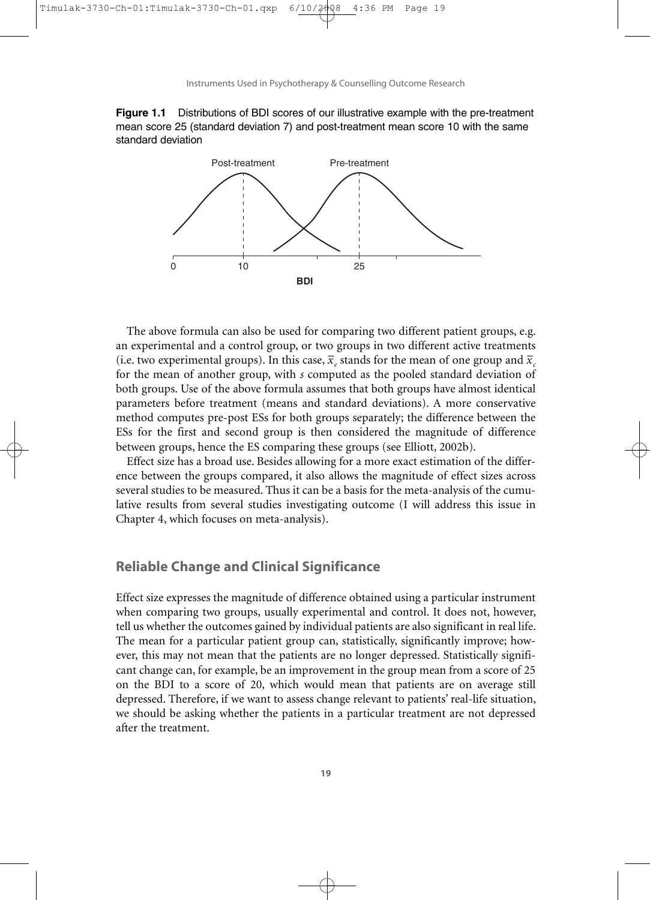Instruments Used in Psychotherapy & Counselling Outcome Research





The above formula can also be used for comparing two different patient groups, e.g. an experimental and a control group, or two groups in two different active treatments (i.e. two experimental groups). In this case,  $\overline{x}_e$  stands for the mean of one group and  $\overline{x}_e$ for the mean of another group, with *s* computed as the pooled standard deviation of both groups. Use of the above formula assumes that both groups have almost identical parameters before treatment (means and standard deviations). A more conservative method computes pre-post ESs for both groups separately; the difference between the ESs for the first and second group is then considered the magnitude of difference between groups, hence the ES comparing these groups (see Elliott, 2002b).

Effect size has a broad use. Besides allowing for a more exact estimation of the difference between the groups compared, it also allows the magnitude of effect sizes across several studies to be measured. Thus it can be a basis for the meta-analysis of the cumulative results from several studies investigating outcome (I will address this issue in Chapter 4, which focuses on meta-analysis).

## **Reliable Change and Clinical Significance**

Effect size expresses the magnitude of difference obtained using a particular instrument when comparing two groups, usually experimental and control. It does not, however, tell us whether the outcomes gained by individual patients are also significant in real life. The mean for a particular patient group can, statistically, significantly improve; however, this may not mean that the patients are no longer depressed. Statistically significant change can, for example, be an improvement in the group mean from a score of 25 on the BDI to a score of 20, which would mean that patients are on average still depressed. Therefore, if we want to assess change relevant to patients' real-life situation, we should be asking whether the patients in a particular treatment are not depressed after the treatment.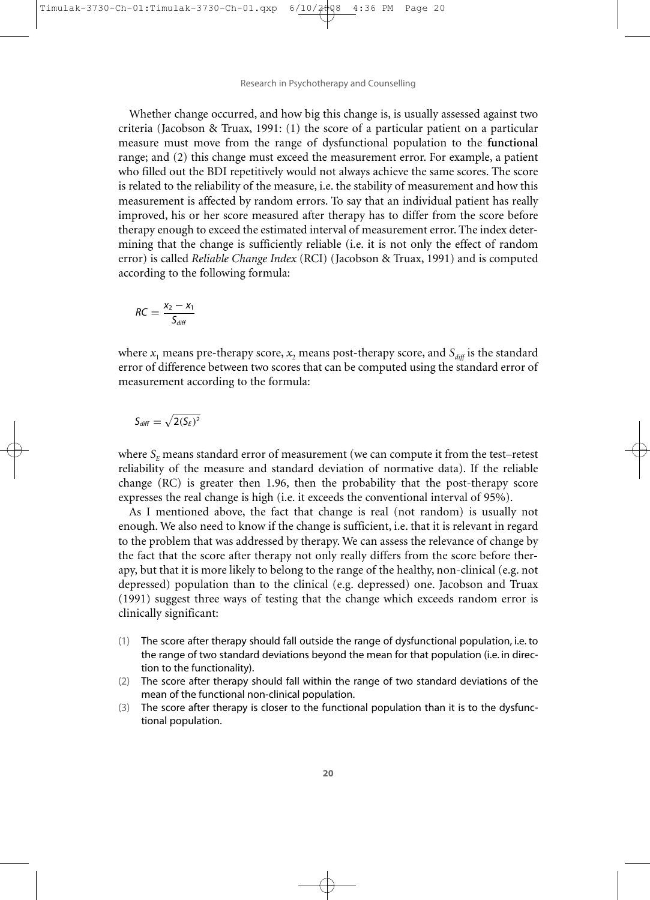Research in Psychotherapy and Counselling

Whether change occurred, and how big this change is, is usually assessed against two criteria (Jacobson & Truax, 1991: (1) the score of a particular patient on a particular measure must move from the range of dysfunctional population to the **functional** range; and (2) this change must exceed the measurement error. For example, a patient who filled out the BDI repetitively would not always achieve the same scores. The score is related to the reliability of the measure, i.e. the stability of measurement and how this measurement is affected by random errors. To say that an individual patient has really improved, his or her score measured after therapy has to differ from the score before therapy enough to exceed the estimated interval of measurement error. The index determining that the change is sufficiently reliable (i.e. it is not only the effect of random error) is called *Reliable Change Index* (RCI) (Jacobson & Truax, 1991) and is computed according to the following formula:

$$
RC = \frac{x_2 - x_1}{S_{diff}}
$$

where  $x_1$  means pre-therapy score,  $x_2$  means post-therapy score, and  $S_{\text{diff}}$  is the standard error of difference between two scores that can be computed using the standard error of measurement according to the formula:

$$
S_{\text{diff}} = \sqrt{2(S_E)^2}
$$

where  $S<sub>E</sub>$  means standard error of measurement (we can compute it from the test–retest reliability of the measure and standard deviation of normative data). If the reliable change (RC) is greater then 1.96, then the probability that the post-therapy score expresses the real change is high (i.e. it exceeds the conventional interval of 95%).

As I mentioned above, the fact that change is real (not random) is usually not enough. We also need to know if the change is sufficient, i.e. that it is relevant in regard to the problem that was addressed by therapy. We can assess the relevance of change by the fact that the score after therapy not only really differs from the score before therapy, but that it is more likely to belong to the range of the healthy, non-clinical (e.g. not depressed) population than to the clinical (e.g. depressed) one. Jacobson and Truax (1991) suggest three ways of testing that the change which exceeds random error is clinically significant:

- (1) The score after therapy should fall outside the range of dysfunctional population, i.e. to the range of two standard deviations beyond the mean for that population (i.e. in direction to the functionality).
- (2) The score after therapy should fall within the range of two standard deviations of the mean of the functional non-clinical population.
- (3) The score after therapy is closer to the functional population than it is to the dysfunctional population.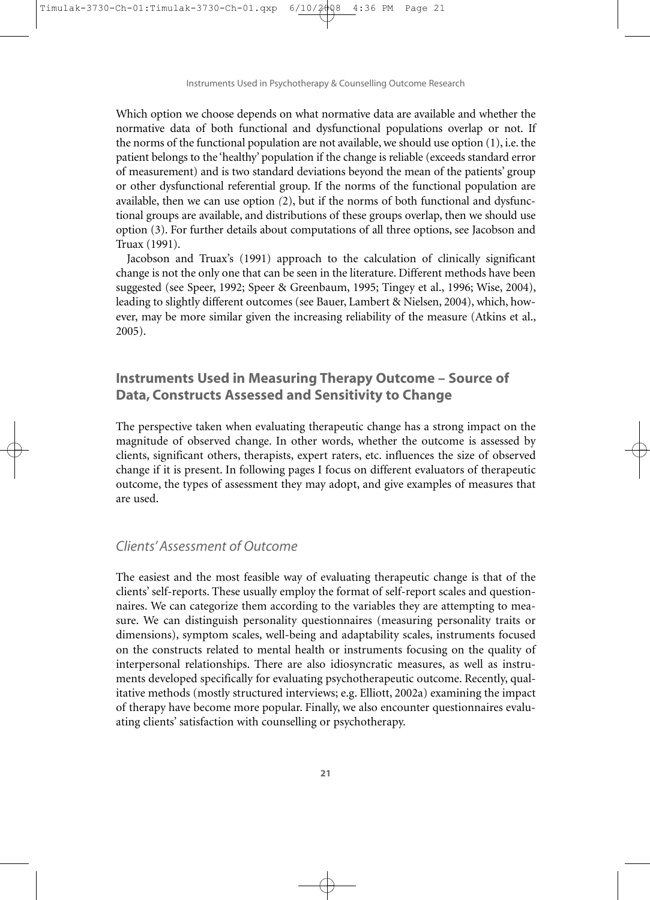Instruments Used in Psychotherapy & Counselling Outcome Research

Which option we choose depends on what normative data are available and whether the normative data of both functional and dysfunctional populations overlap or not. If the norms of the functional population are not available, we should use option (1), i.e. the patient belongs to the 'healthy' population if the change is reliable (exceeds standard error of measurement) and is two standard deviations beyond the mean of the patients' group or other dysfunctional referential group. If the norms of the functional population are available, then we can use option *(*2), but if the norms of both functional and dysfunctional groups are available, and distributions of these groups overlap, then we should use option (3). For further details about computations of all three options, see Jacobson and Truax (1991).

Jacobson and Truax's (1991) approach to the calculation of clinically significant change is not the only one that can be seen in the literature. Different methods have been suggested (see Speer, 1992; Speer & Greenbaum, 1995; Tingey et al., 1996; Wise, 2004), leading to slightly different outcomes (see Bauer, Lambert & Nielsen, 2004), which, however, may be more similar given the increasing reliability of the measure (Atkins et al., 2005).

## **Instruments Used in Measuring Therapy Outcome – Source of Data, Constructs Assessed and Sensitivity to Change**

The perspective taken when evaluating therapeutic change has a strong impact on the magnitude of observed change. In other words, whether the outcome is assessed by clients, significant others, therapists, expert raters, etc. influences the size of observed change if it is present. In following pages I focus on different evaluators of therapeutic outcome, the types of assessment they may adopt, and give examples of measures that are used.

## *Clients' Assessment of Outcome*

The easiest and the most feasible way of evaluating therapeutic change is that of the clients' self-reports. These usually employ the format of self-report scales and questionnaires. We can categorize them according to the variables they are attempting to measure. We can distinguish personality questionnaires (measuring personality traits or dimensions), symptom scales, well-being and adaptability scales, instruments focused on the constructs related to mental health or instruments focusing on the quality of interpersonal relationships. There are also idiosyncratic measures, as well as instruments developed specifically for evaluating psychotherapeutic outcome. Recently, qualitative methods (mostly structured interviews; e.g. Elliott, 2002a) examining the impact of therapy have become more popular. Finally, we also encounter questionnaires evaluating clients' satisfaction with counselling or psychotherapy.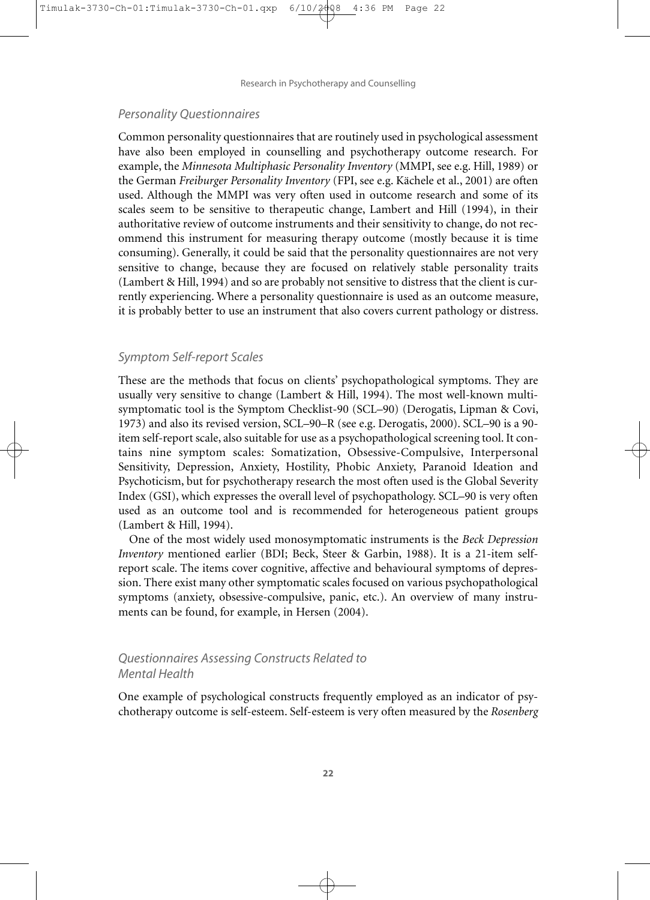Research in Psychotherapy and Counselling

#### *Personality Questionnaires*

Common personality questionnaires that are routinely used in psychological assessment have also been employed in counselling and psychotherapy outcome research. For example, the *Minnesota Multiphasic Personality Inventory* (MMPI, see e.g. Hill, 1989) or the German *Freiburger Personality Inventory* (FPI, see e.g. Kächele et al., 2001) are often used. Although the MMPI was very often used in outcome research and some of its scales seem to be sensitive to therapeutic change, Lambert and Hill (1994), in their authoritative review of outcome instruments and their sensitivity to change, do not recommend this instrument for measuring therapy outcome (mostly because it is time consuming). Generally, it could be said that the personality questionnaires are not very sensitive to change, because they are focused on relatively stable personality traits (Lambert & Hill, 1994) and so are probably not sensitive to distress that the client is currently experiencing. Where a personality questionnaire is used as an outcome measure, it is probably better to use an instrument that also covers current pathology or distress.

#### *Symptom Self-report Scales*

These are the methods that focus on clients' psychopathological symptoms. They are usually very sensitive to change (Lambert & Hill, 1994). The most well-known multisymptomatic tool is the Symptom Checklist-90 (SCL–90) (Derogatis, Lipman & Covi, 1973) and also its revised version, SCL–90–R (see e.g. Derogatis, 2000). SCL–90 is a 90 item self-report scale, also suitable for use as a psychopathological screening tool. It contains nine symptom scales: Somatization, Obsessive-Compulsive, Interpersonal Sensitivity, Depression, Anxiety, Hostility, Phobic Anxiety, Paranoid Ideation and Psychoticism, but for psychotherapy research the most often used is the Global Severity Index (GSI), which expresses the overall level of psychopathology. SCL–90 is very often used as an outcome tool and is recommended for heterogeneous patient groups (Lambert & Hill, 1994).

One of the most widely used monosymptomatic instruments is the *Beck Depression Inventory* mentioned earlier (BDI; Beck, Steer & Garbin, 1988). It is a 21-item selfreport scale. The items cover cognitive, affective and behavioural symptoms of depression. There exist many other symptomatic scales focused on various psychopathological symptoms (anxiety, obsessive-compulsive, panic, etc.). An overview of many instruments can be found, for example, in Hersen (2004).

### *Questionnaires Assessing Constructs Related to Mental Health*

One example of psychological constructs frequently employed as an indicator of psychotherapy outcome is self-esteem. Self-esteem is very often measured by the *Rosenberg*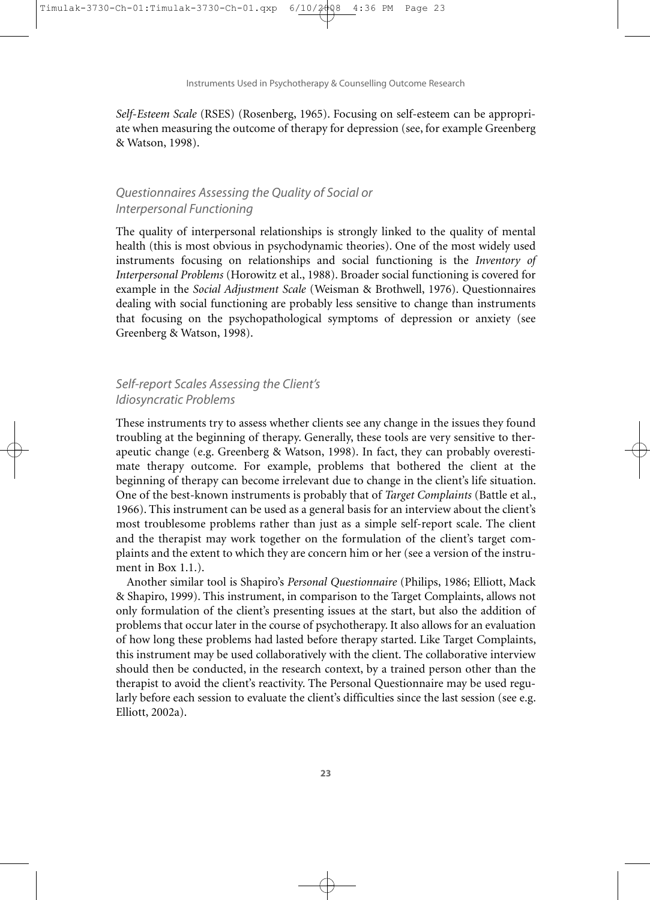Instruments Used in Psychotherapy & Counselling Outcome Research

*Self-Esteem Scale* (RSES) (Rosenberg, 1965). Focusing on self-esteem can be appropriate when measuring the outcome of therapy for depression (see, for example Greenberg & Watson, 1998).

## *Questionnaires Assessing the Quality of Social or Interpersonal Functioning*

The quality of interpersonal relationships is strongly linked to the quality of mental health (this is most obvious in psychodynamic theories). One of the most widely used instruments focusing on relationships and social functioning is the *Inventory of Interpersonal Problems* (Horowitz et al., 1988). Broader social functioning is covered for example in the *Social Adjustment Scale* (Weisman & Brothwell, 1976). Questionnaires dealing with social functioning are probably less sensitive to change than instruments that focusing on the psychopathological symptoms of depression or anxiety (see Greenberg & Watson, 1998).

## *Self-report Scales Assessing the Client's Idiosyncratic Problems*

These instruments try to assess whether clients see any change in the issues they found troubling at the beginning of therapy. Generally, these tools are very sensitive to therapeutic change (e.g. Greenberg & Watson, 1998). In fact, they can probably overestimate therapy outcome. For example, problems that bothered the client at the beginning of therapy can become irrelevant due to change in the client's life situation. One of the best-known instruments is probably that of *Target Complaints* (Battle et al., 1966). This instrument can be used as a general basis for an interview about the client's most troublesome problems rather than just as a simple self-report scale. The client and the therapist may work together on the formulation of the client's target complaints and the extent to which they are concern him or her (see a version of the instrument in Box 1.1.).

Another similar tool is Shapiro's *Personal Questionnaire* (Philips, 1986; Elliott, Mack & Shapiro, 1999). This instrument, in comparison to the Target Complaints, allows not only formulation of the client's presenting issues at the start, but also the addition of problems that occur later in the course of psychotherapy. It also allows for an evaluation of how long these problems had lasted before therapy started. Like Target Complaints, this instrument may be used collaboratively with the client. The collaborative interview should then be conducted, in the research context, by a trained person other than the therapist to avoid the client's reactivity. The Personal Questionnaire may be used regularly before each session to evaluate the client's difficulties since the last session (see e.g. Elliott, 2002a).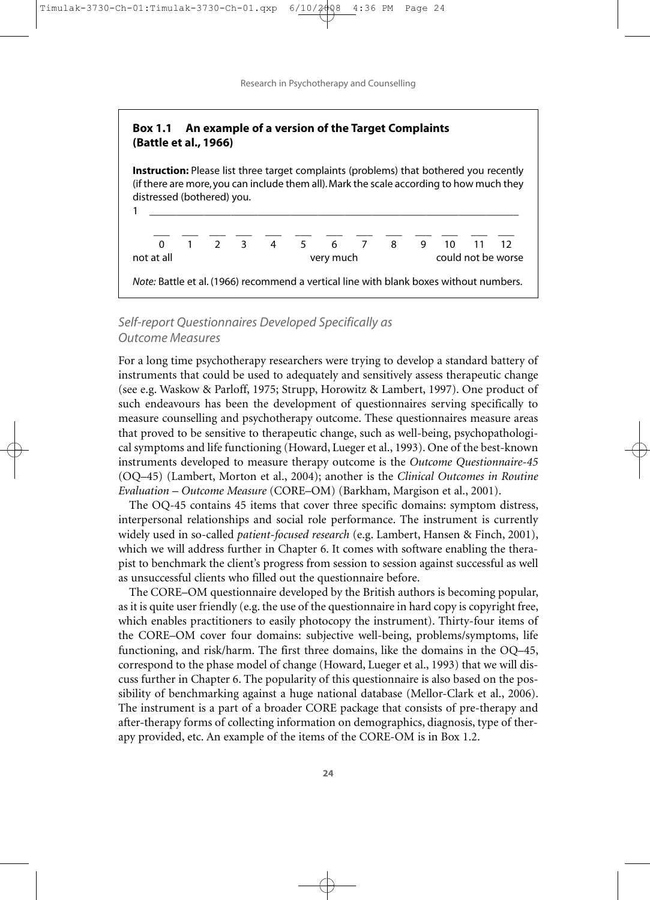Research in Psychotherapy and Counselling

## **Box 1.1 An example of a version of the Target Complaints (Battle et al., 1966)**

**Instruction:** Please list three target complaints (problems) that bothered you recently (if there are more, you can include them all). Mark the scale according to how much they distressed (bothered) you.



## *Self-report Questionnaires Developed Specifically as Outcome Measures*

For a long time psychotherapy researchers were trying to develop a standard battery of instruments that could be used to adequately and sensitively assess therapeutic change (see e.g. Waskow & Parloff, 1975; Strupp, Horowitz & Lambert, 1997). One product of such endeavours has been the development of questionnaires serving specifically to measure counselling and psychotherapy outcome. These questionnaires measure areas that proved to be sensitive to therapeutic change, such as well-being, psychopathological symptoms and life functioning (Howard, Lueger et al., 1993). One of the best-known instruments developed to measure therapy outcome is the *Outcome Questionnaire-45* (OQ–45) (Lambert, Morton et al., 2004); another is the *Clinical Outcomes in Routine Evaluation – Outcome Measure* (CORE–OM) (Barkham, Margison et al., 2001).

The OQ-45 contains 45 items that cover three specific domains: symptom distress, interpersonal relationships and social role performance. The instrument is currently widely used in so-called *patient-focused research* (e.g. Lambert, Hansen & Finch, 2001), which we will address further in Chapter 6. It comes with software enabling the therapist to benchmark the client's progress from session to session against successful as well as unsuccessful clients who filled out the questionnaire before.

The CORE–OM questionnaire developed by the British authors is becoming popular, as it is quite user friendly (e.g. the use of the questionnaire in hard copy is copyright free, which enables practitioners to easily photocopy the instrument). Thirty-four items of the CORE–OM cover four domains: subjective well-being, problems/symptoms, life functioning, and risk/harm. The first three domains, like the domains in the OQ–45, correspond to the phase model of change (Howard, Lueger et al., 1993) that we will discuss further in Chapter 6. The popularity of this questionnaire is also based on the possibility of benchmarking against a huge national database (Mellor-Clark et al., 2006). The instrument is a part of a broader CORE package that consists of pre-therapy and after-therapy forms of collecting information on demographics, diagnosis, type of therapy provided, etc. An example of the items of the CORE-OM is in Box 1.2.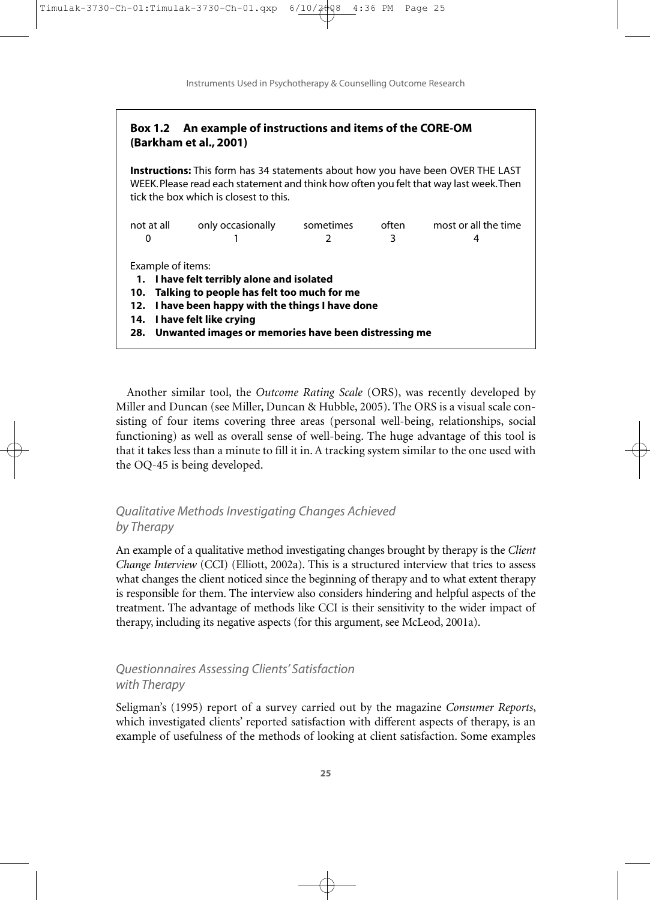Instruments Used in Psychotherapy & Counselling Outcome Research

### **Box 1.2 An example of instructions and items of the CORE-OM (Barkham et al., 2001)**

**Instructions:** This form has 34 statements about how you have been OVER THE LAST WEEK. Please read each statement and think how often you felt that way last week. Then tick the box which is closest to this.

| not at all<br>0                                                                              | only occasionally | sometimes<br>2 | often<br>3 | most or all the time<br>4 |
|----------------------------------------------------------------------------------------------|-------------------|----------------|------------|---------------------------|
|                                                                                              |                   |                |            |                           |
| Example of items:                                                                            |                   |                |            |                           |
| 1. I have felt terribly alone and isolated<br>10. Talking to people has felt too much for me |                   |                |            |                           |
| 12. I have been happy with the things I have done                                            |                   |                |            |                           |
| 14. I have felt like crying                                                                  |                   |                |            |                           |
| 28. Unwanted images or memories have been distressing me                                     |                   |                |            |                           |

Another similar tool, the *Outcome Rating Scale* (ORS), was recently developed by Miller and Duncan (see Miller, Duncan & Hubble, 2005). The ORS is a visual scale consisting of four items covering three areas (personal well-being, relationships, social functioning) as well as overall sense of well-being. The huge advantage of this tool is that it takes less than a minute to fill it in. A tracking system similar to the one used with the OQ-45 is being developed.

## *Qualitative Methods Investigating Changes Achieved by Therapy*

An example of a qualitative method investigating changes brought by therapy is the *Client Change Interview* (CCI) (Elliott, 2002a). This is a structured interview that tries to assess what changes the client noticed since the beginning of therapy and to what extent therapy is responsible for them. The interview also considers hindering and helpful aspects of the treatment. The advantage of methods like CCI is their sensitivity to the wider impact of therapy, including its negative aspects (for this argument, see McLeod, 2001a).

## *Questionnaires Assessing Clients' Satisfaction with Therapy*

Seligman's (1995) report of a survey carried out by the magazine *Consumer Reports*, which investigated clients' reported satisfaction with different aspects of therapy, is an example of usefulness of the methods of looking at client satisfaction. Some examples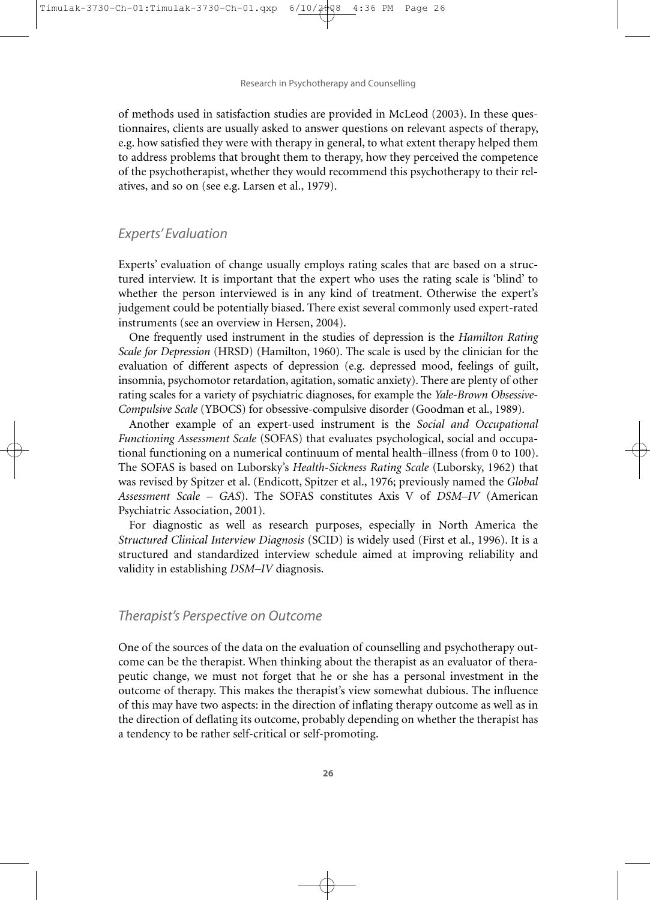Research in Psychotherapy and Counselling

of methods used in satisfaction studies are provided in McLeod (2003). In these questionnaires, clients are usually asked to answer questions on relevant aspects of therapy, e.g. how satisfied they were with therapy in general, to what extent therapy helped them to address problems that brought them to therapy, how they perceived the competence of the psychotherapist, whether they would recommend this psychotherapy to their relatives, and so on (see e.g. Larsen et al., 1979).

#### *Experts' Evaluation*

Experts' evaluation of change usually employs rating scales that are based on a structured interview. It is important that the expert who uses the rating scale is 'blind' to whether the person interviewed is in any kind of treatment. Otherwise the expert's judgement could be potentially biased. There exist several commonly used expert-rated instruments (see an overview in Hersen, 2004).

One frequently used instrument in the studies of depression is the *Hamilton Rating Scale for Depression* (HRSD) (Hamilton, 1960). The scale is used by the clinician for the evaluation of different aspects of depression (e.g. depressed mood, feelings of guilt, insomnia, psychomotor retardation, agitation, somatic anxiety). There are plenty of other rating scales for a variety of psychiatric diagnoses, for example the *Yale-Brown Obsessive-Compulsive Scale* (YBOCS) for obsessive-compulsive disorder (Goodman et al., 1989).

Another example of an expert-used instrument is the *Social and Occupational Functioning Assessment Scale* (SOFAS) that evaluates psychological, social and occupational functioning on a numerical continuum of mental health–illness (from 0 to 100). The SOFAS is based on Luborsky's *Health-Sickness Rating Scale* (Luborsky, 1962) that was revised by Spitzer et al. (Endicott, Spitzer et al., 1976; previously named the *Global Assessment Scale – GAS*). The SOFAS constitutes Axis V of *DSM–IV* (American Psychiatric Association, 2001).

For diagnostic as well as research purposes, especially in North America the *Structured Clinical Interview Diagnosis* (SCID) is widely used (First et al., 1996). It is a structured and standardized interview schedule aimed at improving reliability and validity in establishing *DSM–IV* diagnosis.

#### *Therapist's Perspective on Outcome*

One of the sources of the data on the evaluation of counselling and psychotherapy outcome can be the therapist. When thinking about the therapist as an evaluator of therapeutic change, we must not forget that he or she has a personal investment in the outcome of therapy. This makes the therapist's view somewhat dubious. The influence of this may have two aspects: in the direction of inflating therapy outcome as well as in the direction of deflating its outcome, probably depending on whether the therapist has a tendency to be rather self-critical or self-promoting.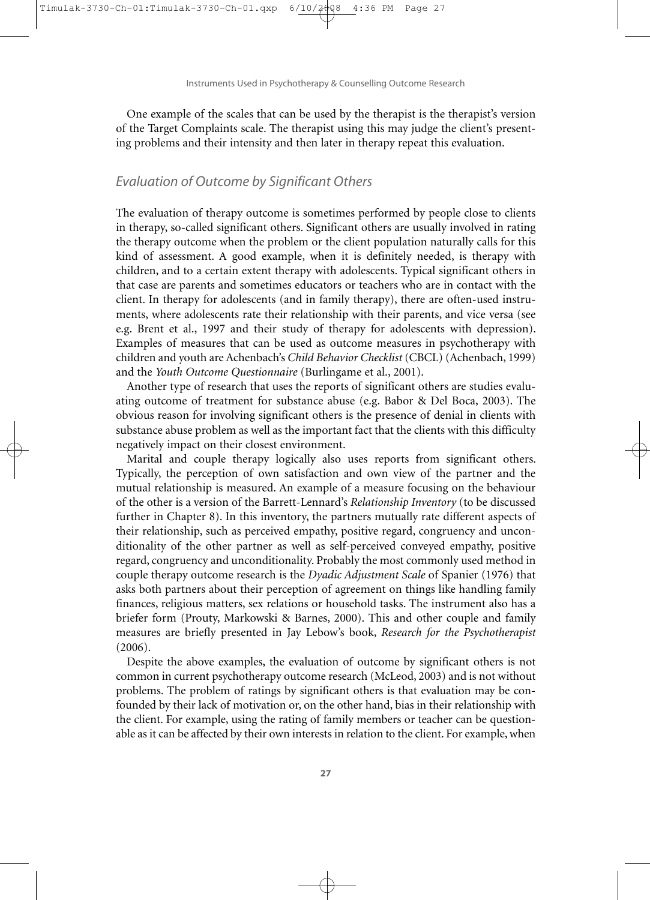$4:36$ 

Instruments Used in Psychotherapy & Counselling Outcome Research

One example of the scales that can be used by the therapist is the therapist's version of the Target Complaints scale. The therapist using this may judge the client's presenting problems and their intensity and then later in therapy repeat this evaluation.

## *Evaluation of Outcome by Significant Others*

The evaluation of therapy outcome is sometimes performed by people close to clients in therapy, so-called significant others. Significant others are usually involved in rating the therapy outcome when the problem or the client population naturally calls for this kind of assessment. A good example, when it is definitely needed, is therapy with children, and to a certain extent therapy with adolescents. Typical significant others in that case are parents and sometimes educators or teachers who are in contact with the client. In therapy for adolescents (and in family therapy), there are often-used instruments, where adolescents rate their relationship with their parents, and vice versa (see e.g. Brent et al., 1997 and their study of therapy for adolescents with depression). Examples of measures that can be used as outcome measures in psychotherapy with children and youth are Achenbach's *Child Behavior Checklist* (CBCL) (Achenbach, 1999) and the *Youth Outcome Questionnaire* (Burlingame et al., 2001).

Another type of research that uses the reports of significant others are studies evaluating outcome of treatment for substance abuse (e.g. Babor & Del Boca, 2003). The obvious reason for involving significant others is the presence of denial in clients with substance abuse problem as well as the important fact that the clients with this difficulty negatively impact on their closest environment.

Marital and couple therapy logically also uses reports from significant others. Typically, the perception of own satisfaction and own view of the partner and the mutual relationship is measured. An example of a measure focusing on the behaviour of the other is a version of the Barrett-Lennard's *Relationship Inventory* (to be discussed further in Chapter 8). In this inventory, the partners mutually rate different aspects of their relationship, such as perceived empathy, positive regard, congruency and unconditionality of the other partner as well as self-perceived conveyed empathy, positive regard, congruency and unconditionality. Probably the most commonly used method in couple therapy outcome research is the *Dyadic Adjustment Scale* of Spanier (1976) that asks both partners about their perception of agreement on things like handling family finances, religious matters, sex relations or household tasks. The instrument also has a briefer form (Prouty, Markowski & Barnes, 2000). This and other couple and family measures are briefly presented in Jay Lebow's book, *Research for the Psychotherapist* (2006).

Despite the above examples, the evaluation of outcome by significant others is not common in current psychotherapy outcome research (McLeod, 2003) and is not without problems. The problem of ratings by significant others is that evaluation may be confounded by their lack of motivation or, on the other hand, bias in their relationship with the client. For example, using the rating of family members or teacher can be questionable as it can be affected by their own interests in relation to the client. For example, when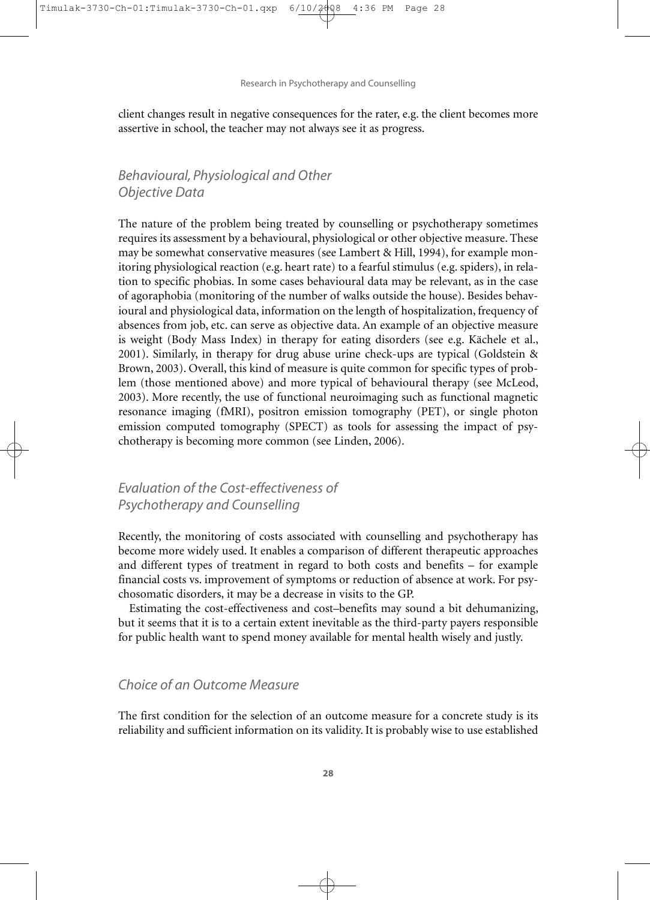Research in Psychotherapy and Counselling

client changes result in negative consequences for the rater, e.g. the client becomes more assertive in school, the teacher may not always see it as progress.

## *Behavioural, Physiological and Other Objective Data*

The nature of the problem being treated by counselling or psychotherapy sometimes requires its assessment by a behavioural, physiological or other objective measure. These may be somewhat conservative measures (see Lambert & Hill, 1994), for example monitoring physiological reaction (e.g. heart rate) to a fearful stimulus (e.g. spiders), in relation to specific phobias. In some cases behavioural data may be relevant, as in the case of agoraphobia (monitoring of the number of walks outside the house). Besides behavioural and physiological data, information on the length of hospitalization, frequency of absences from job, etc. can serve as objective data. An example of an objective measure is weight (Body Mass Index) in therapy for eating disorders (see e.g. Kächele et al., 2001). Similarly, in therapy for drug abuse urine check-ups are typical (Goldstein & Brown, 2003). Overall, this kind of measure is quite common for specific types of problem (those mentioned above) and more typical of behavioural therapy (see McLeod, 2003). More recently, the use of functional neuroimaging such as functional magnetic resonance imaging (fMRI), positron emission tomography (PET), or single photon emission computed tomography (SPECT) as tools for assessing the impact of psychotherapy is becoming more common (see Linden, 2006).

## *Evaluation of the Cost-effectiveness of Psychotherapy and Counselling*

Recently, the monitoring of costs associated with counselling and psychotherapy has become more widely used. It enables a comparison of different therapeutic approaches and different types of treatment in regard to both costs and benefits – for example financial costs vs. improvement of symptoms or reduction of absence at work. For psychosomatic disorders, it may be a decrease in visits to the GP.

Estimating the cost-effectiveness and cost–benefits may sound a bit dehumanizing, but it seems that it is to a certain extent inevitable as the third-party payers responsible for public health want to spend money available for mental health wisely and justly.

#### *Choice of an Outcome Measure*

The first condition for the selection of an outcome measure for a concrete study is its reliability and sufficient information on its validity. It is probably wise to use established